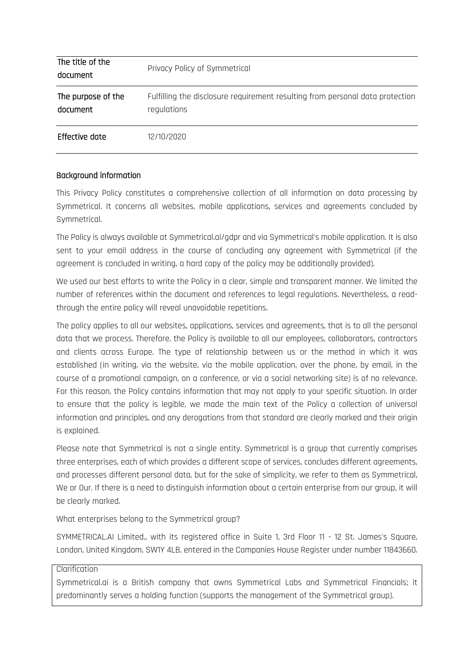| The title of the<br>document   | Privacy Policy of Symmetrical                                                                |
|--------------------------------|----------------------------------------------------------------------------------------------|
| The purpose of the<br>document | Fulfilling the disclosure requirement resulting from personal data protection<br>regulations |
| Effective date                 | 12/10/2020                                                                                   |

#### Background information

This Privacy Policy constitutes a comprehensive collection of all information on data processing by Symmetrical. It concerns all websites, mobile applications, services and agreements concluded by Symmetrical.

The Policy is always available at Symmetrical.ai/gdpr and via Symmetrical's mobile application. It is also sent to your email address in the course of concluding any agreement with Symmetrical (if the agreement is concluded in writing, a hard copy of the policy may be additionally provided).

We used our best efforts to write the Policy in a clear, simple and transparent manner. We limited the number of references within the document and references to legal regulations. Nevertheless, a readthrough the entire policy will reveal unavoidable repetitions.

The policy applies to all our websites, applications, services and agreements, that is to all the personal data that we process. Therefore, the Policy is available to all our employees, collaborators, contractors and clients across Europe. The type of relationship between us or the method in which it was established (in writing, via the website, via the mobile application, over the phone, by email, in the course of a promotional campaign, on a conference, or via a social networking site) is of no relevance. For this reason, the Policy contains information that may not apply to your specific situation. In order to ensure that the policy is legible, we made the main text of the Policy a collection of universal information and principles, and any derogations from that standard are clearly marked and their origin is explained.

Please note that Symmetrical is not a single entity. Symmetrical is a group that currently comprises three enterprises, each of which provides a different scope of services, concludes different agreements, and processes different personal data, but for the sake of simplicity, we refer to them as Symmetrical, We or Our. If there is a need to distinguish information about a certain enterprise from our group, it will be clearly marked.

What enterprises belong to the Symmetrical group?

SYMMETRICAL.AI Limited., with its registered office in Suite 1, 3rd Floor 11 - 12 St. James's Square, London, United Kingdom, SW1Y 4LB, entered in the Companies House Register under number 11843660.

#### Clarification

Symmetrical.ai is a British company that owns Symmetrical Labs and Symmetrical Financials; it predominantly serves a holding function (supports the management of the Symmetrical group).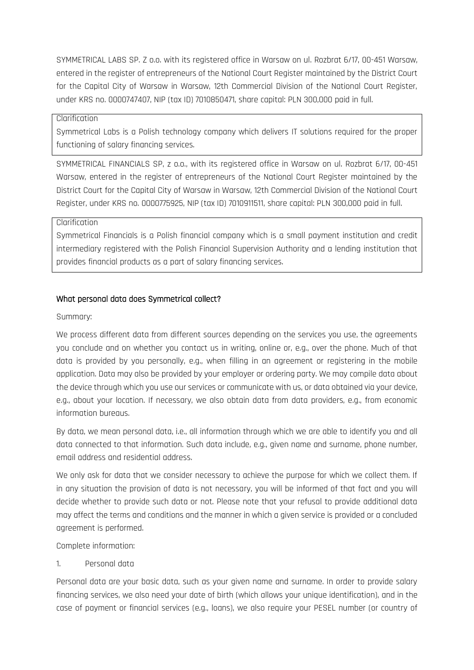SYMMETRICAL LABS SP. Z o.o. with its registered office in Warsaw on ul. Rozbrat 6/17, 00-451 Warsaw, entered in the register of entrepreneurs of the National Court Register maintained by the District Court for the Capital City of Warsaw in Warsaw, 12th Commercial Division of the National Court Register, under KRS no. 0000747407, NIP (tax ID) 7010850471, share capital: PLN 300,000 paid in full.

#### Clarification

Symmetrical Labs is a Polish technology company which delivers IT solutions required for the proper functioning of salary financing services.

SYMMETRICAL FINANCIALS SP, z o.o., with its registered office in Warsaw on ul. Rozbrat 6/17, 00-451 Warsaw, entered in the register of entrepreneurs of the National Court Register maintained by the District Court for the Capital City of Warsaw in Warsaw, 12th Commercial Division of the National Court Register, under KRS no. 0000775925, NIP (tax ID) 7010911511, share capital: PLN 300,000 paid in full.

### Clarification

Symmetrical Financials is a Polish financial company which is a small payment institution and credit intermediary registered with the Polish Financial Supervision Authority and a lending institution that provides financial products as a part of salary financing services.

#### What personal data does Symmetrical collect?

#### Summary:

We process different data from different sources depending on the services you use, the agreements you conclude and on whether you contact us in writing, online or, e.g., over the phone. Much of that data is provided by you personally, e.g., when filling in an agreement or registering in the mobile application. Data may also be provided by your employer or ordering party. We may compile data about the device through which you use our services or communicate with us, or data obtained via your device, e.g., about your location. If necessary, we also obtain data from data providers, e.g., from economic information bureaus.

By data, we mean personal data, i.e., all information through which we are able to identify you and all data connected to that information. Such data include, e.g., given name and surname, phone number, email address and residential address.

We only ask for data that we consider necessary to achieve the purpose for which we collect them. If in any situation the provision of data is not necessary, you will be informed of that fact and you will decide whether to provide such data or not. Please note that your refusal to provide additional data may affect the terms and conditions and the manner in which a given service is provided or a concluded agreement is performed.

Complete information:

1. Personal data

Personal data are your basic data, such as your given name and surname. In order to provide salary financing services, we also need your date of birth (which allows your unique identification), and in the case of payment or financial services (e.g., loans), we also require your PESEL number (or country of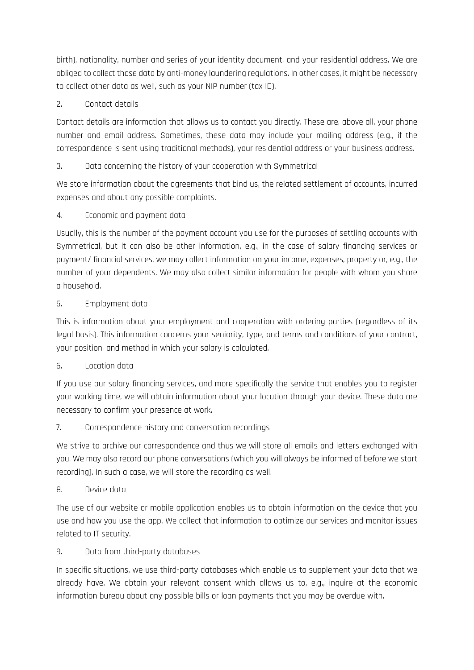birth), nationality, number and series of your identity document, and your residential address. We are obliged to collect those data by anti-money laundering regulations. In other cases, it might be necessary to collect other data as well, such as your NIP number (tax ID).

# 2. Contact details

Contact details are information that allows us to contact you directly. These are, above all, your phone number and email address. Sometimes, these data may include your mailing address (e.g., if the correspondence is sent using traditional methods), your residential address or your business address.

# 3. Data concerning the history of your cooperation with Symmetrical

We store information about the agreements that bind us, the related settlement of accounts, incurred expenses and about any possible complaints.

# 4. Economic and payment data

Usually, this is the number of the payment account you use for the purposes of settling accounts with Symmetrical, but it can also be other information, e.g., in the case of salary financing services or payment/ financial services, we may collect information on your income, expenses, property or, e.g., the number of your dependents. We may also collect similar information for people with whom you share a household.

# 5. Employment data

This is information about your employment and cooperation with ordering parties (regardless of its legal basis). This information concerns your seniority, type, and terms and conditions of your contract, your position, and method in which your salary is calculated.

# 6. Location data

If you use our salary financing services, and more specifically the service that enables you to register your working time, we will obtain information about your location through your device. These data are necessary to confirm your presence at work.

# 7. Correspondence history and conversation recordings

We strive to archive our correspondence and thus we will store all emails and letters exchanged with you. We may also record our phone conversations (which you will always be informed of before we start recording). In such a case, we will store the recording as well.

# 8. Device data

The use of our website or mobile application enables us to obtain information on the device that you use and how you use the app. We collect that information to optimize our services and monitor issues related to IT security.

# 9. Data from third-party databases

In specific situations, we use third-party databases which enable us to supplement your data that we already have. We obtain your relevant consent which allows us to, e.g., inquire at the economic information bureau about any possible bills or loan payments that you may be overdue with.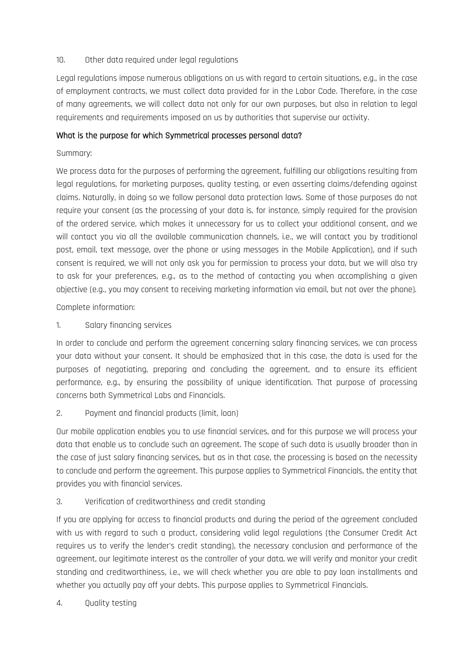#### 10. Other data required under legal regulations

Legal regulations impose numerous obligations on us with regard to certain situations, e.g., in the case of employment contracts, we must collect data provided for in the Labor Code. Therefore, in the case of many agreements, we will collect data not only for our own purposes, but also in relation to legal requirements and requirements imposed on us by authorities that supervise our activity.

### What is the purpose for which Symmetrical processes personal data?

### Summary:

We process data for the purposes of performing the agreement, fulfilling our obligations resulting from legal regulations, for marketing purposes, quality testing, or even asserting claims/defending against claims. Naturally, in doing so we follow personal data protection laws. Some of those purposes do not require your consent (as the processing of your data is, for instance, simply required for the provision of the ordered service, which makes it unnecessary for us to collect your additional consent, and we will contact you via all the available communication channels, i.e., we will contact you by traditional post, email, text message, over the phone or using messages in the Mobile Application), and if such consent is required, we will not only ask you for permission to process your data, but we will also try to ask for your preferences, e.g., as to the method of contacting you when accomplishing a given objective (e.g., you may consent to receiving marketing information via email, but not over the phone).

Complete information:

1. Salary financing services

In order to conclude and perform the agreement concerning salary financing services, we can process your data without your consent. It should be emphasized that in this case, the data is used for the purposes of negotiating, preparing and concluding the agreement, and to ensure its efficient performance, e.g., by ensuring the possibility of unique identification. That purpose of processing concerns both Symmetrical Labs and Financials.

### 2. Payment and financial products (limit, loan)

Our mobile application enables you to use financial services, and for this purpose we will process your data that enable us to conclude such an agreement. The scope of such data is usually broader than in the case of just salary financing services, but as in that case, the processing is based on the necessity to conclude and perform the agreement. This purpose applies to Symmetrical Financials, the entity that provides you with financial services.

### 3. Verification of creditworthiness and credit standing

If you are applying for access to financial products and during the period of the agreement concluded with us with regard to such a product, considering valid legal regulations (the Consumer Credit Act requires us to verify the lender's credit standing), the necessary conclusion and performance of the agreement, our legitimate interest as the controller of your data, we will verify and monitor your credit standing and creditworthiness, i.e., we will check whether you are able to pay loan installments and whether you actually pay off your debts. This purpose applies to Symmetrical Financials.

4. Quality testing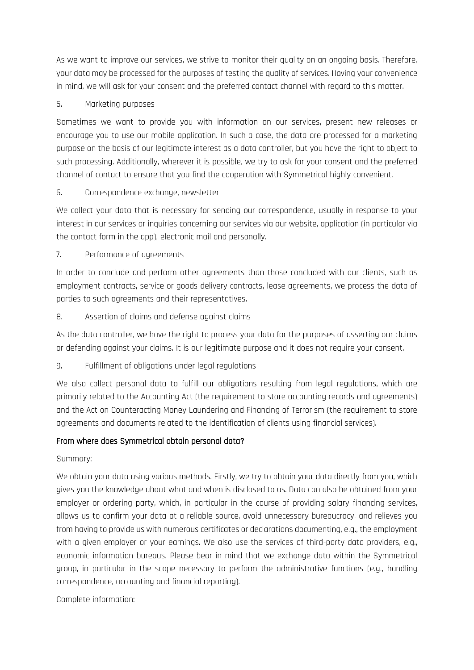As we want to improve our services, we strive to monitor their quality on an ongoing basis. Therefore, your data may be processed for the purposes of testing the quality of services. Having your convenience in mind, we will ask for your consent and the preferred contact channel with regard to this matter.

### 5. Marketing purposes

Sometimes we want to provide you with information on our services, present new releases or encourage you to use our mobile application. In such a case, the data are processed for a marketing purpose on the basis of our legitimate interest as a data controller, but you have the right to object to such processing. Additionally, wherever it is possible, we try to ask for your consent and the preferred channel of contact to ensure that you find the cooperation with Symmetrical highly convenient.

### 6. Correspondence exchange, newsletter

We collect your data that is necessary for sending our correspondence, usually in response to your interest in our services or inquiries concerning our services via our website, application (in particular via the contact form in the app), electronic mail and personally.

## 7. Performance of agreements

In order to conclude and perform other agreements than those concluded with our clients, such as employment contracts, service or goods delivery contracts, lease agreements, we process the data of parties to such agreements and their representatives.

## 8. Assertion of claims and defense against claims

As the data controller, we have the right to process your data for the purposes of asserting our claims or defending against your claims. It is our legitimate purpose and it does not require your consent.

### 9. Fulfillment of obligations under legal regulations

We also collect personal data to fulfill our obligations resulting from legal regulations, which are primarily related to the Accounting Act (the requirement to store accounting records and agreements) and the Act on Counteracting Money Laundering and Financing of Terrorism (the requirement to store agreements and documents related to the identification of clients using financial services).

### From where does Symmetrical obtain personal data?

Summary:

We obtain your data using various methods. Firstly, we try to obtain your data directly from you, which gives you the knowledge about what and when is disclosed to us. Data can also be obtained from your employer or ordering party, which, in particular in the course of providing salary financing services, allows us to confirm your data at a reliable source, avoid unnecessary bureaucracy, and relieves you from having to provide us with numerous certificates or declarations documenting, e.g., the employment with a given employer or your earnings. We also use the services of third-party data providers, e.g., economic information bureaus. Please bear in mind that we exchange data within the Symmetrical group, in particular in the scope necessary to perform the administrative functions (e.g., handling correspondence, accounting and financial reporting).

### Complete information: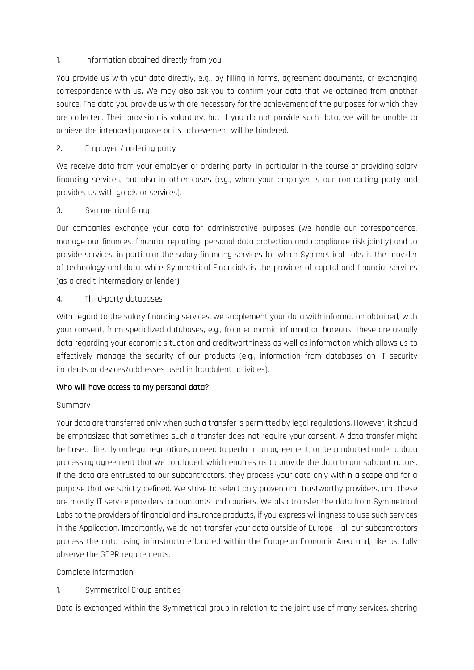#### 1. Information obtained directly from you

You provide us with your data directly, e.g., by filling in forms, agreement documents, or exchanging correspondence with us. We may also ask you to confirm your data that we obtained from another source. The data you provide us with are necessary for the achievement of the purposes for which they are collected. Their provision is voluntary, but if you do not provide such data, we will be unable to achieve the intended purpose or its achievement will be hindered.

### 2. Employer / ordering party

We receive data from your employer or ordering party, in particular in the course of providing salary financing services, but also in other cases (e.g., when your employer is our contracting party and provides us with goods or services).

### 3. Symmetrical Group

Our companies exchange your data for administrative purposes (we handle our correspondence, manage our finances, financial reporting, personal data protection and compliance risk jointly) and to provide services, in particular the salary financing services for which Symmetrical Labs is the provider of technology and data, while Symmetrical Financials is the provider of capital and financial services (as a credit intermediary or lender).

#### 4. Third-party databases

With regard to the salary financing services, we supplement your data with information obtained, with your consent, from specialized databases, e.g., from economic information bureaus. These are usually data regarding your economic situation and creditworthiness as well as information which allows us to effectively manage the security of our products (e.g., information from databases on IT security incidents or devices/addresses used in fraudulent activities).

### Who will have access to my personal data?

#### Summary

Your data are transferred only when such a transfer is permitted by legal regulations. However, it should be emphasized that sometimes such a transfer does not require your consent. A data transfer might be based directly on legal regulations, a need to perform an agreement, or be conducted under a data processing agreement that we concluded, which enables us to provide the data to our subcontractors. If the data are entrusted to our subcontractors, they process your data only within a scope and for a purpose that we strictly defined. We strive to select only proven and trustworthy providers, and these are mostly IT service providers, accountants and couriers. We also transfer the data from Symmetrical Labs to the providers of financial and insurance products, if you express willingness to use such services in the Application. Importantly, we do not transfer your data outside of Europe – all our subcontractors process the data using infrastructure located within the European Economic Area and, like us, fully observe the GDPR requirements.

#### Complete information:

### 1. Symmetrical Group entities

Data is exchanged within the Symmetrical group in relation to the joint use of many services, sharing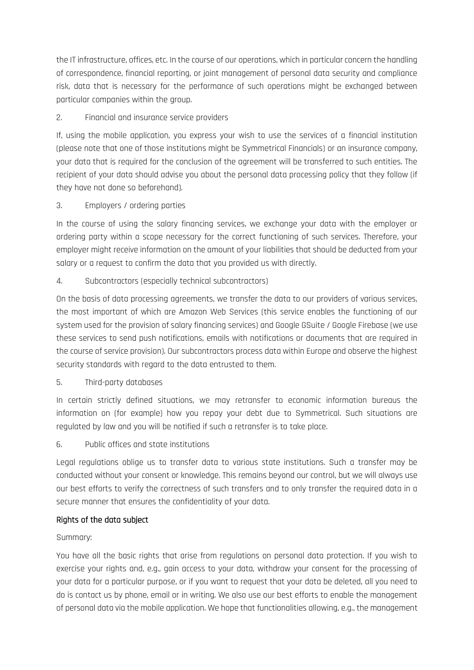the IT infrastructure, offices, etc. In the course of our operations, which in particular concern the handling of correspondence, financial reporting, or joint management of personal data security and compliance risk, data that is necessary for the performance of such operations might be exchanged between particular companies within the group.

## 2. Financial and insurance service providers

If, using the mobile application, you express your wish to use the services of a financial institution (please note that one of those institutions might be Symmetrical Financials) or an insurance company, your data that is required for the conclusion of the agreement will be transferred to such entities. The recipient of your data should advise you about the personal data processing policy that they follow (if they have not done so beforehand).

## 3. Employers / ordering parties

In the course of using the salary financing services, we exchange your data with the employer or ordering party within a scope necessary for the correct functioning of such services. Therefore, your employer might receive information on the amount of your liabilities that should be deducted from your salary or a request to confirm the data that you provided us with directly.

## 4. Subcontractors (especially technical subcontractors)

On the basis of data processing agreements, we transfer the data to our providers of various services, the most important of which are Amazon Web Services (this service enables the functioning of our system used for the provision of salary financing services) and Google GSuite / Google Firebase (we use these services to send push notifications, emails with notifications or documents that are required in the course of service provision). Our subcontractors process data within Europe and observe the highest security standards with regard to the data entrusted to them.

### 5. Third-party databases

In certain strictly defined situations, we may retransfer to economic information bureaus the information on (for example) how you repay your debt due to Symmetrical. Such situations are regulated by law and you will be notified if such a retransfer is to take place.

### 6. Public offices and state institutions

Legal regulations oblige us to transfer data to various state institutions. Such a transfer may be conducted without your consent or knowledge. This remains beyond our control, but we will always use our best efforts to verify the correctness of such transfers and to only transfer the required data in a secure manner that ensures the confidentiality of your data.

### Rights of the data subject

### Summary:

You have all the basic rights that arise from regulations on personal data protection. If you wish to exercise your rights and, e.g., gain access to your data, withdraw your consent for the processing of your data for a particular purpose, or if you want to request that your data be deleted, all you need to do is contact us by phone, email or in writing. We also use our best efforts to enable the management of personal data via the mobile application. We hope that functionalities allowing, e.g., the management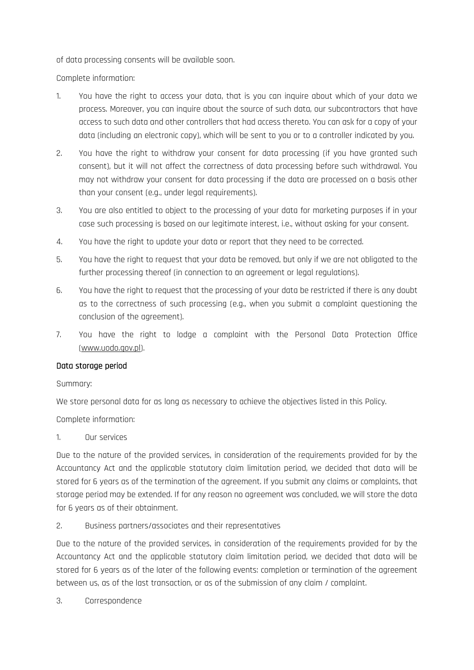of data processing consents will be available soon.

Complete information:

- 1. You have the right to access your data, that is you can inquire about which of your data we process. Moreover, you can inquire about the source of such data, our subcontractors that have access to such data and other controllers that had access thereto. You can ask for a copy of your data (including an electronic copy), which will be sent to you or to a controller indicated by you.
- 2. You have the right to withdraw your consent for data processing (if you have granted such consent), but it will not affect the correctness of data processing before such withdrawal. You may not withdraw your consent for data processing if the data are processed on a basis other than your consent (e.g., under legal requirements).
- 3. You are also entitled to object to the processing of your data for marketing purposes if in your case such processing is based on our legitimate interest, i.e., without asking for your consent.
- 4. You have the right to update your data or report that they need to be corrected.
- 5. You have the right to request that your data be removed, but only if we are not obligated to the further processing thereof (in connection to an agreement or legal regulations).
- 6. You have the right to request that the processing of your data be restricted if there is any doubt as to the correctness of such processing (e.g., when you submit a complaint questioning the conclusion of the agreement).
- 7. You have the right to lodge a complaint with the Personal Data Protection Office [\(www.uodo.gov.pl\)](http://www.uodo.gov.pl/).

### Data storage period

Summary:

We store personal data for as long as necessary to achieve the objectives listed in this Policy.

Complete information:

1. Our services

Due to the nature of the provided services, in consideration of the requirements provided for by the Accountancy Act and the applicable statutory claim limitation period, we decided that data will be stored for 6 years as of the termination of the agreement. If you submit any claims or complaints, that storage period may be extended. If for any reason no agreement was concluded, we will store the data for 6 years as of their obtainment.

2. Business partners/associates and their representatives

Due to the nature of the provided services, in consideration of the requirements provided for by the Accountancy Act and the applicable statutory claim limitation period, we decided that data will be stored for 6 years as of the later of the following events: completion or termination of the agreement between us, as of the last transaction, or as of the submission of any claim / complaint.

3. Correspondence